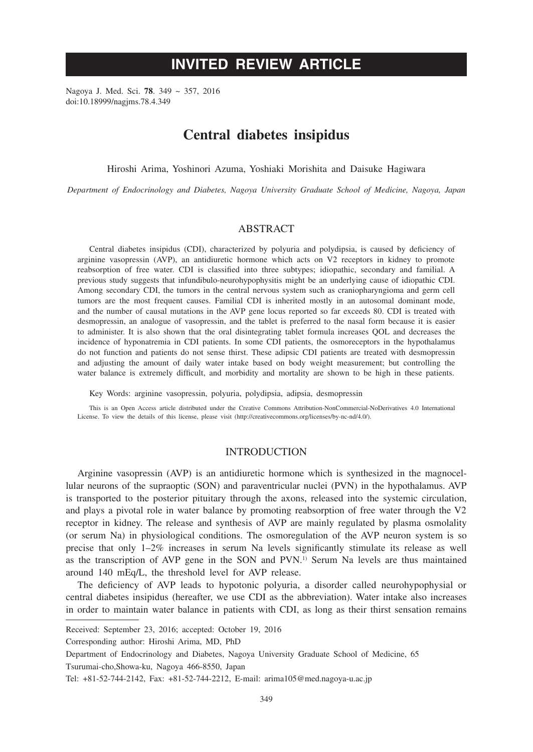# **INVITED REVIEW ARTICLE**

Nagoya J. Med. Sci. **78**. 349 ~ 357, 2016 doi:10.18999/nagjms.78.4.349

## **Central diabetes insipidus**

Hiroshi Arima, Yoshinori Azuma, Yoshiaki Morishita and Daisuke Hagiwara

*Department of Endocrinology and Diabetes, Nagoya University Graduate School of Medicine, Nagoya, Japan*

## **ABSTRACT**

Central diabetes insipidus (CDI), characterized by polyuria and polydipsia, is caused by deficiency of arginine vasopressin (AVP), an antidiuretic hormone which acts on V2 receptors in kidney to promote reabsorption of free water. CDI is classified into three subtypes; idiopathic, secondary and familial. A previous study suggests that infundibulo-neurohypophysitis might be an underlying cause of idiopathic CDI. Among secondary CDI, the tumors in the central nervous system such as craniopharyngioma and germ cell tumors are the most frequent causes. Familial CDI is inherited mostly in an autosomal dominant mode, and the number of causal mutations in the AVP gene locus reported so far exceeds 80. CDI is treated with desmopressin, an analogue of vasopressin, and the tablet is preferred to the nasal form because it is easier to administer. It is also shown that the oral disintegrating tablet formula increases QOL and decreases the incidence of hyponatremia in CDI patients. In some CDI patients, the osmoreceptors in the hypothalamus do not function and patients do not sense thirst. These adipsic CDI patients are treated with desmopressin and adjusting the amount of daily water intake based on body weight measurement; but controlling the water balance is extremely difficult, and morbidity and mortality are shown to be high in these patients.

Key Words: arginine vasopressin, polyuria, polydipsia, adipsia, desmopressin

This is an Open Access article distributed under the Creative Commons Attribution-NonCommercial-NoDerivatives 4.0 International License. To view the details of this license, please visit (http://creativecommons.org/licenses/by-nc-nd/4.0/).

#### INTRODUCTION

Arginine vasopressin (AVP) is an antidiuretic hormone which is synthesized in the magnocellular neurons of the supraoptic (SON) and paraventricular nuclei (PVN) in the hypothalamus. AVP is transported to the posterior pituitary through the axons, released into the systemic circulation, and plays a pivotal role in water balance by promoting reabsorption of free water through the V2 receptor in kidney. The release and synthesis of AVP are mainly regulated by plasma osmolality (or serum Na) in physiological conditions. The osmoregulation of the AVP neuron system is so precise that only 1–2% increases in serum Na levels significantly stimulate its release as well as the transcription of AVP gene in the SON and PVN.1) Serum Na levels are thus maintained around 140 mEq/L, the threshold level for AVP release.

The deficiency of AVP leads to hypotonic polyuria, a disorder called neurohypophysial or central diabetes insipidus (hereafter, we use CDI as the abbreviation). Water intake also increases in order to maintain water balance in patients with CDI, as long as their thirst sensation remains

Corresponding author: Hiroshi Arima, MD, PhD

Received: September 23, 2016; accepted: October 19, 2016

Department of Endocrinology and Diabetes, Nagoya University Graduate School of Medicine, 65 Tsurumai-cho,Showa-ku, Nagoya 466-8550, Japan

Tel: +81-52-744-2142, Fax: +81-52-744-2212, E-mail: arima105@med.nagoya-u.ac.jp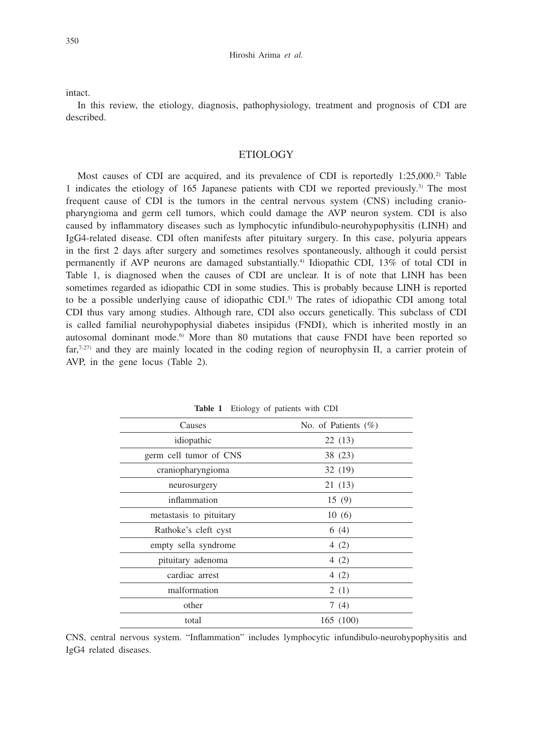intact.

In this review, the etiology, diagnosis, pathophysiology, treatment and prognosis of CDI are described.

## ETIOLOGY

Most causes of CDI are acquired, and its prevalence of CDI is reportedly  $1:25,000$ .<sup>2)</sup> Table 1 indicates the etiology of 165 Japanese patients with CDI we reported previously.3) The most frequent cause of CDI is the tumors in the central nervous system (CNS) including craniopharyngioma and germ cell tumors, which could damage the AVP neuron system. CDI is also caused by inflammatory diseases such as lymphocytic infundibulo-neurohypophysitis (LINH) and IgG4-related disease. CDI often manifests after pituitary surgery. In this case, polyuria appears in the first 2 days after surgery and sometimes resolves spontaneously, although it could persist permanently if AVP neurons are damaged substantially.4) Idiopathic CDI, 13% of total CDI in Table 1, is diagnosed when the causes of CDI are unclear. It is of note that LINH has been sometimes regarded as idiopathic CDI in some studies. This is probably because LINH is reported to be a possible underlying cause of idiopathic CDI.<sup>5)</sup> The rates of idiopathic CDI among total CDI thus vary among studies. Although rare, CDI also occurs genetically. This subclass of CDI is called familial neurohypophysial diabetes insipidus (FNDI), which is inherited mostly in an autosomal dominant mode. $6$  More than 80 mutations that cause FNDI have been reported so  $far,7-27$  and they are mainly located in the coding region of neurophysin II, a carrier protein of AVP, in the gene locus (Table 2).

| Causes                  | No. of Patients $(\%)$ |
|-------------------------|------------------------|
| idiopathic              | 22(13)                 |
| germ cell tumor of CNS  | 38 (23)                |
| craniopharyngioma       | 32 (19)                |
| neurosurgery            | 21 (13)                |
| inflammation            | 15(9)                  |
| metastasis to pituitary | 10(6)                  |
| Rathoke's cleft cyst    | 6(4)                   |
| empty sella syndrome    | 4 $(2)$                |
| pituitary adenoma       | 4(2)                   |
| cardiac arrest          | 4 $(2)$                |
| malformation            | 2(1)                   |
| other                   | 7(4)                   |
| total                   | 165 (100)              |

**Table 1** Etiology of patients with CDI

CNS, central nervous system. "Inflammation" includes lymphocytic infundibulo-neurohypophysitis and IgG4 related diseases.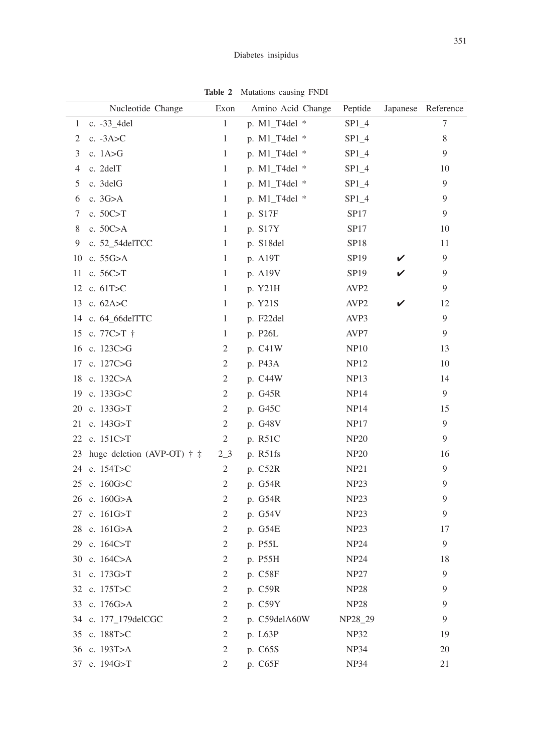|    | Nucleotide Change                             | Exon           | <b>Rabit 2</b> INTURATIONS CAUSING $\bf{111}$<br>Amino Acid Change | Peptide          |   | Japanese Reference |
|----|-----------------------------------------------|----------------|--------------------------------------------------------------------|------------------|---|--------------------|
| 1  | c. $-33$ _4del                                | $\mathbf{1}$   | p. $M1_T4$ del *                                                   | $SP1_4$          |   | 7                  |
| 2  | c. $-3A > C$                                  | 1              | p. $M1_T4$ del *                                                   | $SP1_4$          |   | 8                  |
| 3  | c. $1A > G$                                   | 1              | p. M1_T4del *                                                      | $SP1_4$          |   | 9                  |
| 4  | c. 2delT                                      | $\mathbf{1}$   | p. $M1_T4$ del *                                                   | $SP1_4$          |   | 10                 |
| 5  | c. 3delG                                      | 1              | p. $M1_T4$ del *                                                   | $SP1_4$          |   | 9                  |
| 6  | c. 3G>A                                       | $\mathbf{1}$   | p. $M1_T4$ del *                                                   | $SP1_4$          |   | 9                  |
| 7  | c. 50C>T                                      | 1              | p. S17F                                                            | SP17             |   | 9                  |
| 8  | c. $50C>A$                                    | 1              | p. S17Y                                                            | SP17             |   | 10                 |
| 9  | c. 52_54delTCC                                | 1              | p. S18del                                                          | <b>SP18</b>      |   | 11                 |
| 10 | c. 55G>A                                      | $\mathbf{1}$   | p. A19T                                                            | SP19             |   | 9                  |
| 11 | c. $56C > T$                                  | $\mathbf{1}$   | p. A19V                                                            | SP <sub>19</sub> | ✓ | 9                  |
|    | 12 c. 61T>C                                   | $\mathbf{1}$   | p. Y21H                                                            | AVP <sub>2</sub> |   | 9                  |
|    | 13 c. $62A > C$                               | $\mathbf{1}$   | p. Y21S                                                            | AVP <sub>2</sub> |   | 12                 |
|    | 14 c. 64_66delTTC                             | $\mathbf{1}$   | p. F22del                                                          | AVP3             |   | 9                  |
|    | 15 c. 77C>T †                                 | 1              | p. P26L                                                            | AVP7             |   | 9                  |
|    | 16 c. 123C>G                                  | 2              | p. C41W                                                            | <b>NP10</b>      |   | 13                 |
|    | 17 c. 127C>G                                  | $\mathbf{2}$   | p. P43A                                                            | <b>NP12</b>      |   | 10                 |
|    | 18 c. 132C>A                                  | $\mathbf{2}$   | p. C44W                                                            | <b>NP13</b>      |   | 14                 |
|    | 19 c. 133G>C                                  | $\overline{2}$ | p. G45R                                                            | <b>NP14</b>      |   | 9                  |
|    | 20 c. 133G>T                                  | $\mathbf{2}$   | p. G45C                                                            | <b>NP14</b>      |   | 15                 |
|    | 21 c. 143G>T                                  | $\overline{c}$ | p. G48V                                                            | <b>NP17</b>      |   | 9                  |
|    | 22 c. 151C>T                                  | $\mathbf{2}$   | p. R51C                                                            | <b>NP20</b>      |   | 9                  |
|    | 23 huge deletion (AVP-OT) $\dagger$ $\dagger$ | 2 <sub>2</sub> | p. R51fs                                                           | <b>NP20</b>      |   | 16                 |
|    | 24 c. 154T>C                                  | $\mathbf{2}$   | p. C52R                                                            | NP21             |   | 9                  |
|    | 25 c. 160G>C                                  | $\mathbf{2}$   | p. G54R                                                            | NP <sub>23</sub> |   | 9                  |
|    | 26 c. 160G>A                                  | 2              | p. G54R                                                            | NP <sub>23</sub> |   | 9                  |
|    | 27 c. 161G>T                                  | $\mathbf{2}$   | p. G54V                                                            | NP23             |   | 9                  |
|    | 28 c. 161G>A                                  | $\mathbf{2}$   | p. G54E                                                            | NP23             |   | 17                 |
|    | 29 c. 164C>T                                  | 2              | p. P55L                                                            | <b>NP24</b>      |   | 9                  |
|    | 30 c. 164C>A                                  | 2              | p. P55H                                                            | <b>NP24</b>      |   | 18                 |
|    | 31 c. 173G>T                                  | 2              | p. C58F                                                            | <b>NP27</b>      |   | 9                  |
|    | 32 c. 175T>C                                  | $\mathfrak{2}$ | p. C59R                                                            | <b>NP28</b>      |   | 9                  |
|    | 33 c. 176G>A                                  | 2              | p. C59Y                                                            | <b>NP28</b>      |   | 9                  |
|    | 34 c. 177_179delCGC                           | $\mathbf{2}$   | p. C59delA60W                                                      | NP28_29          |   | 9                  |
|    | 35 c. 188T>C                                  | 2              | p. L63P                                                            | <b>NP32</b>      |   | 19                 |
|    | 36 c. 193T>A                                  | $\mathfrak{2}$ | p. C65S                                                            | <b>NP34</b>      |   | 20                 |
|    | 37 c. 194G>T                                  | $\overline{c}$ | p. C65F                                                            | NP34             |   | 21                 |

**Table 2** Mutations causing FNDI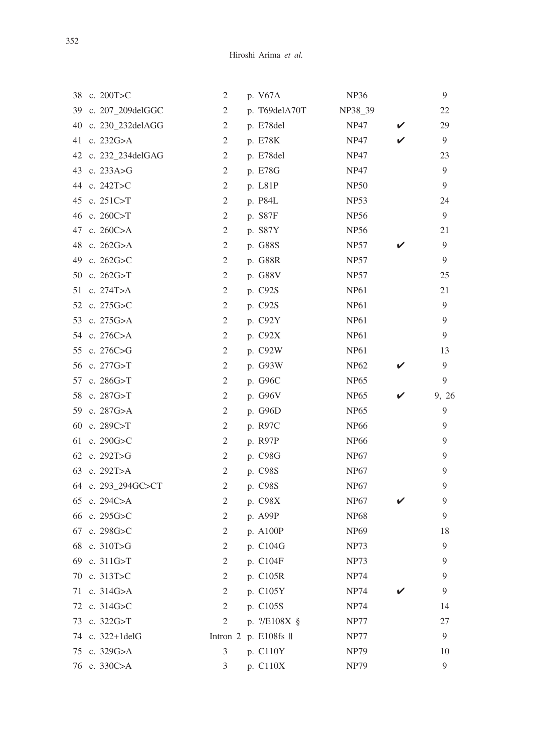|    | 38 c. 200T>C        | 2              | p. V67A                          | <b>NP36</b> |   | 9     |
|----|---------------------|----------------|----------------------------------|-------------|---|-------|
|    | 39 c. 207_209delGGC | 2              | p. T69delA70T                    | NP38_39     |   | 22    |
| 40 | c. 230_232delAGG    | 2              | p. E78del                        | <b>NP47</b> | V | 29    |
| 41 | c. $232G > A$       | 2              | p. E78K                          | <b>NP47</b> |   | 9     |
|    | 42 c. 232_234delGAG | $\overline{2}$ | p. E78del                        | <b>NP47</b> |   | 23    |
|    | 43 c. 233A>G        | 2              | p. E78G                          | <b>NP47</b> |   | 9     |
|    | 44 c. 242T>C        | 2              | p. L81P                          | <b>NP50</b> |   | 9     |
| 45 | c. $251C > T$       | 2              | p. P84L                          | <b>NP53</b> |   | 24    |
|    | 46 c. 260C>T        | 2              | p. S87F                          | <b>NP56</b> |   | 9     |
| 47 | c. $260C > A$       | 2              | p. S87Y                          | <b>NP56</b> |   | 21    |
| 48 | c. $262G > A$       | 2              | p. G88S                          | <b>NP57</b> |   | 9     |
| 49 | c. $262G > C$       | 2              | p. G88R                          | NP57        |   | 9     |
|    | 50 c. 262G>T        | 2              | p. G88V                          | <b>NP57</b> |   | 25    |
|    | 51 c. 274T>A        | 2              | p. C92S                          | <b>NP61</b> |   | 21    |
|    | 52 c. 275G>C        | 2              | p. C92S                          | <b>NP61</b> |   | 9     |
|    | 53 c. 275G>A        | 2              | p. C92Y                          | <b>NP61</b> |   | 9     |
|    | 54 c. 276C>A        | 2              | p. C92X                          | <b>NP61</b> |   | 9     |
| 55 | c. 276C>G           | 2              | p. C92W                          | <b>NP61</b> |   | 13    |
| 56 | c. 277G>T           | 2              | p. G93W                          | <b>NP62</b> |   | 9     |
|    | 57 c. 286G>T        | 2              | p. G96C                          | <b>NP65</b> |   | 9     |
|    | 58 c. 287G>T        | 2              | p. G96V                          | <b>NP65</b> |   | 9, 26 |
|    | 59 c. 287G>A        | 2              | p. G96D                          | <b>NP65</b> |   | 9     |
| 60 | c. 289C>T           | 2              | p. R97C                          | <b>NP66</b> |   | 9     |
| 61 | c. 290G>C           | 2              | p. R97P                          | <b>NP66</b> |   | 9     |
|    | 62 c. 292T>G        | 2              | p. C98G                          | <b>NP67</b> |   | 9     |
| 63 | c. 292T>A           | 2              | p. C98S                          | <b>NP67</b> |   | 9     |
|    | 64 c. 293_294GC>CT  | 2              | p. C98S                          | <b>NP67</b> |   | 9     |
|    | 65 c. 294C>A        | 2              | p. C98X                          | <b>NP67</b> |   | 9     |
|    | 66 c. 295G>C        | 2              | p. A99P                          | <b>NP68</b> |   | 9     |
|    | 67 c. 298G>C        | $\mathfrak{2}$ | p. A100P                         | <b>NP69</b> |   | 18    |
| 68 | c. $310T > G$       | $\mathfrak{2}$ | p. C104G                         | <b>NP73</b> |   | 9     |
|    | 69 c. 311G>T        | 2              | p. C104F                         | <b>NP73</b> |   | 9     |
|    | 70 c. 313T>C        | 2              | p. C105R                         | <b>NP74</b> |   | 9     |
|    | 71 c. 314G>A        | 2              | p. C105Y                         | <b>NP74</b> |   | 9     |
|    | 72 c. 314G>C        | 2              | p. C105S                         | NP74        |   | 14    |
|    | 73 c. 322G>T        | 2              | p. ?/E108X §                     | NP77        |   | 27    |
|    | 74 c. 322+1delG     |                | Intron $2$ p. E108fs $\parallel$ | NP77        |   | 9     |
| 75 | c. 329G>A           | 3              | p. C110Y                         | <b>NP79</b> |   | 10    |
|    | 76 c. 330C>A        | 3              | p. C110X                         | <b>NP79</b> |   | 9     |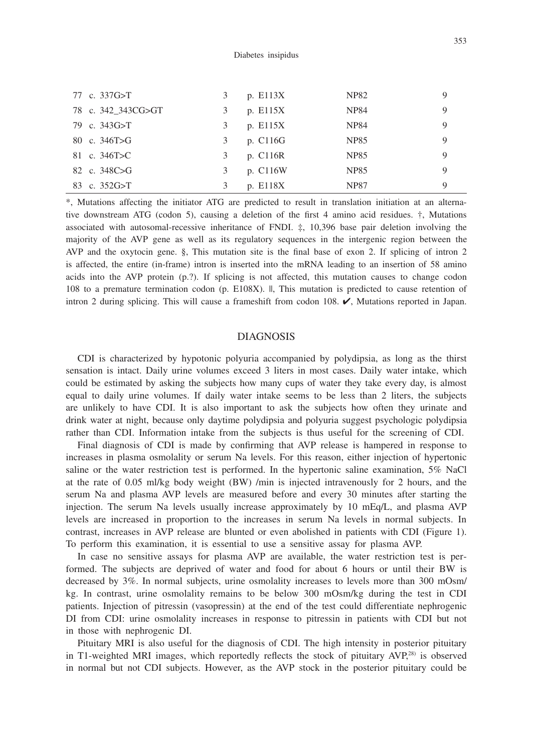| 77 c. 337G>T       | 3 | p. E113X | NP82        | 9 |
|--------------------|---|----------|-------------|---|
| 78 c. 342_343CG>GT | 3 | p. E115X | <b>NP84</b> | 9 |
| 79 c. 343G>T       | 3 | p. E115X | <b>NP84</b> | 9 |
| 80 c. $346T > G$   | 3 | p. C116G | NP85        | 9 |
| 81 c. 346T>C       |   | p. C116R | NP85        | 9 |
| 82 c. 348C>G       | 3 | p. C116W | <b>NP85</b> | 9 |
| 83 c. $352G > T$   |   | p. E118X | <b>NP87</b> | 9 |

\*, Mutations affecting the initiator ATG are predicted to result in translation initiation at an alternative downstream ATG (codon 5), causing a deletion of the first 4 amino acid residues. †, Mutations associated with autosomal-recessive inheritance of FNDI. ‡, 10,396 base pair deletion involving the majority of the AVP gene as well as its regulatory sequences in the intergenic region between the AVP and the oxytocin gene. §, This mutation site is the final base of exon 2. If splicing of intron 2 is affected, the entire (in-frame) intron is inserted into the mRNA leading to an insertion of 58 amino acids into the AVP protein (p.?). If splicing is not affected, this mutation causes to change codon 108 to a premature termination codon (p. E108X). ||, This mutation is predicted to cause retention of intron 2 during splicing. This will cause a frameshift from codon 108. ✔, Mutations reported in Japan.

#### DIAGNOSIS

CDI is characterized by hypotonic polyuria accompanied by polydipsia, as long as the thirst sensation is intact. Daily urine volumes exceed 3 liters in most cases. Daily water intake, which could be estimated by asking the subjects how many cups of water they take every day, is almost equal to daily urine volumes. If daily water intake seems to be less than 2 liters, the subjects are unlikely to have CDI. It is also important to ask the subjects how often they urinate and drink water at night, because only daytime polydipsia and polyuria suggest psychologic polydipsia rather than CDI. Information intake from the subjects is thus useful for the screening of CDI.

Final diagnosis of CDI is made by confirming that AVP release is hampered in response to increases in plasma osmolality or serum Na levels. For this reason, either injection of hypertonic saline or the water restriction test is performed. In the hypertonic saline examination, 5% NaCl at the rate of 0.05 ml/kg body weight (BW) /min is injected intravenously for 2 hours, and the serum Na and plasma AVP levels are measured before and every 30 minutes after starting the injection. The serum Na levels usually increase approximately by 10 mEq/L, and plasma AVP levels are increased in proportion to the increases in serum Na levels in normal subjects. In contrast, increases in AVP release are blunted or even abolished in patients with CDI (Figure 1). To perform this examination, it is essential to use a sensitive assay for plasma AVP.

In case no sensitive assays for plasma AVP are available, the water restriction test is performed. The subjects are deprived of water and food for about 6 hours or until their BW is decreased by 3%. In normal subjects, urine osmolality increases to levels more than 300 mOsm/ kg. In contrast, urine osmolality remains to be below 300 mOsm/kg during the test in CDI patients. Injection of pitressin (vasopressin) at the end of the test could differentiate nephrogenic DI from CDI: urine osmolality increases in response to pitressin in patients with CDI but not in those with nephrogenic DI.

Pituitary MRI is also useful for the diagnosis of CDI. The high intensity in posterior pituitary in T1-weighted MRI images, which reportedly reflects the stock of pituitary AVP,28) is observed in normal but not CDI subjects. However, as the AVP stock in the posterior pituitary could be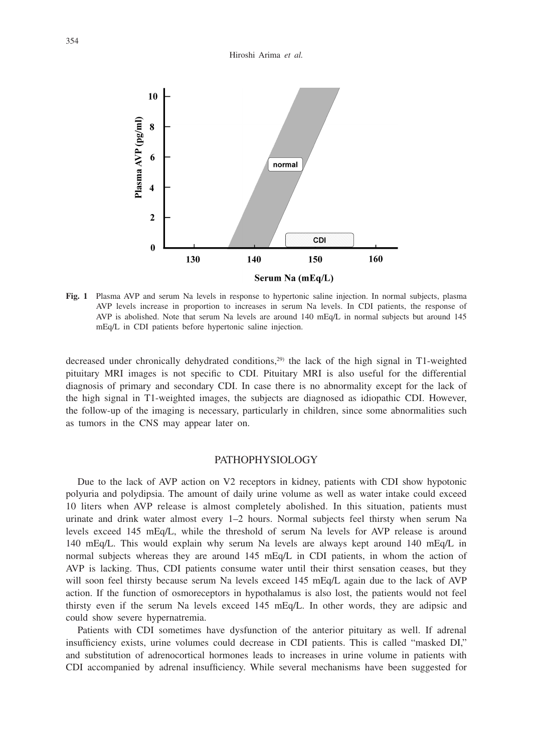#### Hiroshi Arima *et al.*



**Fig. 1** Plasma AVP and serum Na levels in response to hypertonic saline injection. In normal subjects, plasma AVP levels increase in proportion to increases in serum Na levels. In CDI patients, the response of AVP is abolished. Note that serum Na levels are around 140 mEq/L in normal subjects but around 145 mEq/L in CDI patients before hypertonic saline injection.

decreased under chronically dehydrated conditions,<sup>29)</sup> the lack of the high signal in T1-weighted pituitary MRI images is not specific to CDI. Pituitary MRI is also useful for the differential diagnosis of primary and secondary CDI. In case there is no abnormality except for the lack of the high signal in T1-weighted images, the subjects are diagnosed as idiopathic CDI. However, the follow-up of the imaging is necessary, particularly in children, since some abnormalities such as tumors in the CNS may appear later on.

## PATHOPHYSIOLOGY

Due to the lack of AVP action on V2 receptors in kidney, patients with CDI show hypotonic polyuria and polydipsia. The amount of daily urine volume as well as water intake could exceed 10 liters when AVP release is almost completely abolished. In this situation, patients must urinate and drink water almost every 1–2 hours. Normal subjects feel thirsty when serum Na levels exceed 145 mEq/L, while the threshold of serum Na levels for AVP release is around 140 mEq/L. This would explain why serum Na levels are always kept around 140 mEq/L in normal subjects whereas they are around 145 mEq/L in CDI patients, in whom the action of AVP is lacking. Thus, CDI patients consume water until their thirst sensation ceases, but they will soon feel thirsty because serum Na levels exceed 145 mEq/L again due to the lack of AVP action. If the function of osmoreceptors in hypothalamus is also lost, the patients would not feel thirsty even if the serum Na levels exceed 145 mEq/L. In other words, they are adipsic and could show severe hypernatremia.

Patients with CDI sometimes have dysfunction of the anterior pituitary as well. If adrenal insufficiency exists, urine volumes could decrease in CDI patients. This is called "masked DI," and substitution of adrenocortical hormones leads to increases in urine volume in patients with CDI accompanied by adrenal insufficiency. While several mechanisms have been suggested for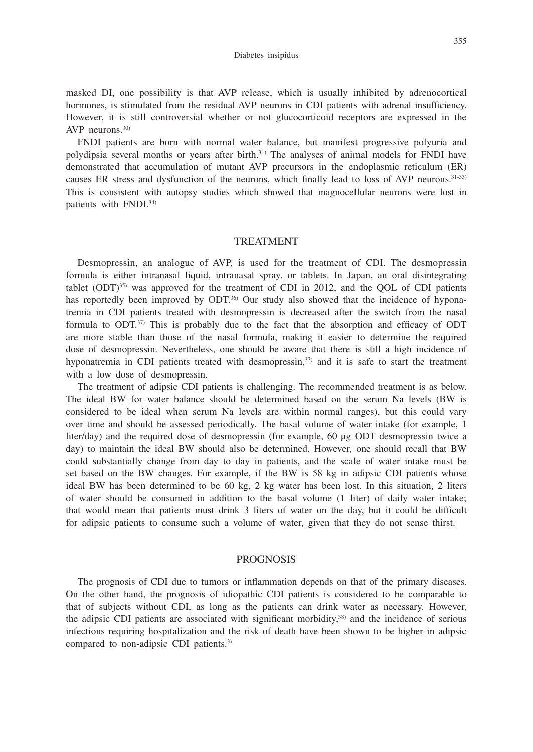#### Diabetes insipidus

masked DI, one possibility is that AVP release, which is usually inhibited by adrenocortical hormones, is stimulated from the residual AVP neurons in CDI patients with adrenal insufficiency. However, it is still controversial whether or not glucocorticoid receptors are expressed in the AVP neurons.<sup>30)</sup>

FNDI patients are born with normal water balance, but manifest progressive polyuria and polydipsia several months or years after birth.31) The analyses of animal models for FNDI have demonstrated that accumulation of mutant AVP precursors in the endoplasmic reticulum (ER) causes ER stress and dysfunction of the neurons, which finally lead to loss of AVP neurons.<sup>31-33)</sup> This is consistent with autopsy studies which showed that magnocellular neurons were lost in patients with FNDI.34)

#### TREATMENT

Desmopressin, an analogue of AVP, is used for the treatment of CDI. The desmopressin formula is either intranasal liquid, intranasal spray, or tablets. In Japan, an oral disintegrating tablet  $(ODT)^{35}$  was approved for the treatment of CDI in 2012, and the OOL of CDI patients has reportedly been improved by  $ODT^{36}$ . Our study also showed that the incidence of hyponatremia in CDI patients treated with desmopressin is decreased after the switch from the nasal formula to  $ODT^{37}$ . This is probably due to the fact that the absorption and efficacy of ODT are more stable than those of the nasal formula, making it easier to determine the required dose of desmopressin. Nevertheless, one should be aware that there is still a high incidence of hyponatremia in CDI patients treated with desmopressin,<sup>37)</sup> and it is safe to start the treatment with a low dose of desmopressin.

The treatment of adipsic CDI patients is challenging. The recommended treatment is as below. The ideal BW for water balance should be determined based on the serum Na levels (BW is considered to be ideal when serum Na levels are within normal ranges), but this could vary over time and should be assessed periodically. The basal volume of water intake (for example, 1 liter/day) and the required dose of desmopressin (for example, 60 µg ODT desmopressin twice a day) to maintain the ideal BW should also be determined. However, one should recall that BW could substantially change from day to day in patients, and the scale of water intake must be set based on the BW changes. For example, if the BW is 58 kg in adipsic CDI patients whose ideal BW has been determined to be 60 kg, 2 kg water has been lost. In this situation, 2 liters of water should be consumed in addition to the basal volume (1 liter) of daily water intake; that would mean that patients must drink 3 liters of water on the day, but it could be difficult for adipsic patients to consume such a volume of water, given that they do not sense thirst.

### PROGNOSIS

The prognosis of CDI due to tumors or inflammation depends on that of the primary diseases. On the other hand, the prognosis of idiopathic CDI patients is considered to be comparable to that of subjects without CDI, as long as the patients can drink water as necessary. However, the adipsic CDI patients are associated with significant morbidity, $38$ ) and the incidence of serious infections requiring hospitalization and the risk of death have been shown to be higher in adipsic compared to non-adipsic CDI patients.<sup>3)</sup>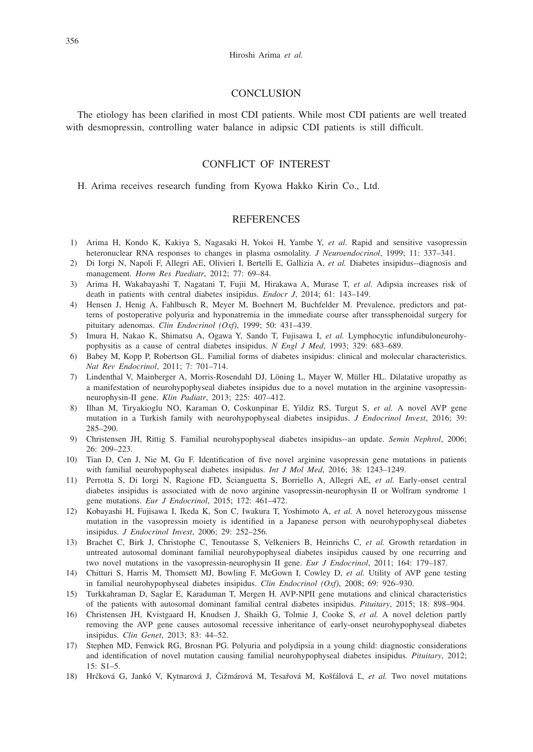#### **CONCLUSION**

The etiology has been clarified in most CDI patients. While most CDI patients are well treated with desmopressin, controlling water balance in adipsic CDI patients is still difficult.

## CONFLICT OF INTEREST

H. Arima receives research funding from Kyowa Hakko Kirin Co., Ltd.

## **REFERENCES**

- 1) Arima H, Kondo K, Kakiya S, Nagasaki H, Yokoi H, Yambe Y, *et al.* Rapid and sensitive vasopressin heteronuclear RNA responses to changes in plasma osmolality. *J Neuroendocrinol*, 1999; 11: 337–341.
- 2) Di Iorgi N, Napoli F, Allegri AE, Olivieri I, Bertelli E, Gallizia A, *et al.* Diabetes insipidus--diagnosis and management. *Horm Res Paediatr*, 2012; 77: 69–84.
- 3) Arima H, Wakabayashi T, Nagatani T, Fujii M, Hirakawa A, Murase T, *et al.* Adipsia increases risk of death in patients with central diabetes insipidus. *Endocr J*, 2014; 61: 143–149.
- 4) Hensen J, Henig A, Fahlbusch R, Meyer M, Boehnert M, Buchfelder M. Prevalence, predictors and patterns of postoperative polyuria and hyponatremia in the immediate course after transsphenoidal surgery for pituitary adenomas. *Clin Endocrinol (Oxf)*, 1999; 50: 431–439.
- 5) Imura H, Nakao K, Shimatsu A, Ogawa Y, Sando T, Fujisawa I, *et al.* Lymphocytic infundibuloneurohypophysitis as a cause of central diabetes insipidus. *N Engl J Med*, 1993; 329: 683–689.
- 6) Babey M, Kopp P, Robertson GL. Familial forms of diabetes insipidus: clinical and molecular characteristics. *Nat Rev Endocrinol*, 2011; 7: 701–714.
- 7) Lindenthal V, Mainberger A, Morris-Rosendahl DJ, Löning L, Mayer W, Müller HL. Dilatative uropathy as a manifestation of neurohypophyseal diabetes insipidus due to a novel mutation in the arginine vasopressinneurophysin-II gene. *Klin Padiatr*, 2013; 225: 407–412.
- 8) Ilhan M, Tiryakioglu NO, Karaman O, Coskunpinar E, Yildiz RS, Turgut S, *et al.* A novel AVP gene mutation in a Turkish family with neurohypophyseal diabetes insipidus. *J Endocrinol Invest*, 2016; 39: 285–290.
- 9) Christensen JH, Rittig S. Familial neurohypophyseal diabetes insipidus--an update. *Semin Nephrol*, 2006; 26: 209–223.
- 10) Tian D, Cen J, Nie M, Gu F. Identification of five novel arginine vasopressin gene mutations in patients with familial neurohypophyseal diabetes insipidus. *Int J Mol Med*, 2016; 38: 1243–1249.
- 11) Perrotta S, Di Iorgi N, Ragione FD, Scianguetta S, Borriello A, Allegri AE, *et al.* Early-onset central diabetes insipidus is associated with de novo arginine vasopressin-neurophysin II or Wolfram syndrome 1 gene mutations. *Eur J Endocrinol*, 2015; 172: 461–472.
- 12) Kobayashi H, Fujisawa I, Ikeda K, Son C, Iwakura T, Yoshimoto A, *et al.* A novel heterozygous missense mutation in the vasopressin moiety is identified in a Japanese person with neurohypophyseal diabetes insipidus. *J Endocrinol Invest*, 2006; 29: 252–256.
- 13) Brachet C, Birk J, Christophe C, Tenoutasse S, Velkeniers B, Heinrichs C, *et al.* Growth retardation in untreated autosomal dominant familial neurohypophyseal diabetes insipidus caused by one recurring and two novel mutations in the vasopressin-neurophysin II gene. *Eur J Endocrinol*, 2011; 164: 179–187.
- 14) Chitturi S, Harris M, Thomsett MJ, Bowling F, McGown I, Cowley D, *et al.* Utility of AVP gene testing in familial neurohypophyseal diabetes insipidus. *Clin Endocrinol (Oxf)*, 2008; 69: 926–930.
- 15) Turkkahraman D, Saglar E, Karaduman T, Mergen H. AVP-NPII gene mutations and clinical characteristics of the patients with autosomal dominant familial central diabetes insipidus. *Pituitary*, 2015; 18: 898–904.
- 16) Christensen JH, Kvistgaard H, Knudsen J, Shaikh G, Tolmie J, Cooke S, *et al.* A novel deletion partly removing the AVP gene causes autosomal recessive inheritance of early-onset neurohypophyseal diabetes insipidus. *Clin Genet*, 2013; 83: 44–52.
- 17) Stephen MD, Fenwick RG, Brosnan PG. Polyuria and polydipsia in a young child: diagnostic considerations and identification of novel mutation causing familial neurohypophyseal diabetes insipidus. *Pituitary*, 2012; 15: S1–5.
- 18) Hrčková G, Jankó V, Kytnarová J, Čižmárová M, Tesařová M, Košťálová Ľ, *et al.* Two novel mutations